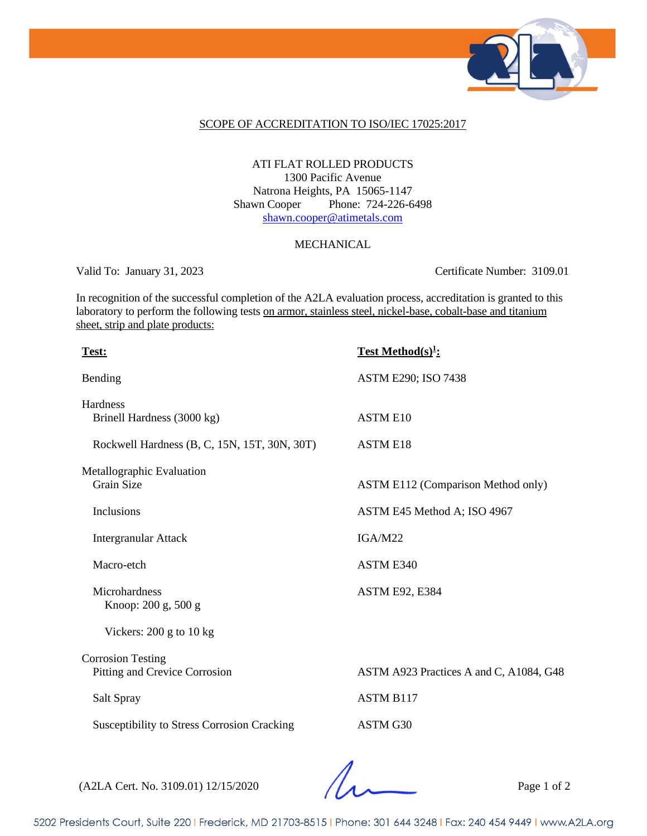

## SCOPE OF ACCREDITATION TO ISO/IEC 17025:2017

## ATI FLAT ROLLED PRODUCTS 1300 Pacific Avenue Natrona Heights, PA 15065-1147 Shawn Cooper Phone: 724-226-6498 [shawn.cooper@atimetals.com](mailto:Christopher.Napoli@ATIMetals.com)

## MECHANICAL

Valid To: January 31, 2023 Certificate Number: 3109.01

In recognition of the successful completion of the A2LA evaluation process, accreditation is granted to this laboratory to perform the following tests on armor, stainless steel, nickel-base, cobalt-base and titanium sheet, strip and plate products:

| Test:                                                     | <u>Test Method(s)<sup>1</sup></u> :       |
|-----------------------------------------------------------|-------------------------------------------|
| Bending                                                   | <b>ASTM E290; ISO 7438</b>                |
| Hardness<br>Brinell Hardness (3000 kg)                    | <b>ASTM E10</b>                           |
| Rockwell Hardness (B, C, 15N, 15T, 30N, 30T)              | <b>ASTM E18</b>                           |
| Metallographic Evaluation<br><b>Grain Size</b>            | <b>ASTM E112 (Comparison Method only)</b> |
| <b>Inclusions</b>                                         | ASTM E45 Method A; ISO 4967               |
| <b>Intergranular Attack</b>                               | IGA/M22                                   |
| Macro-etch                                                | ASTM E340                                 |
| Microhardness<br>Knoop: 200 g, 500 g                      | <b>ASTM E92, E384</b>                     |
| Vickers: $200$ g to $10$ kg                               |                                           |
| <b>Corrosion Testing</b><br>Pitting and Crevice Corrosion | ASTM A923 Practices A and C, A1084, G48   |
| Salt Spray                                                | <b>ASTM B117</b>                          |
| <b>Susceptibility to Stress Corrosion Cracking</b>        | ASTM G30                                  |
|                                                           |                                           |

 $(A2LA$  Cert. No. 3109.01) 12/15/2020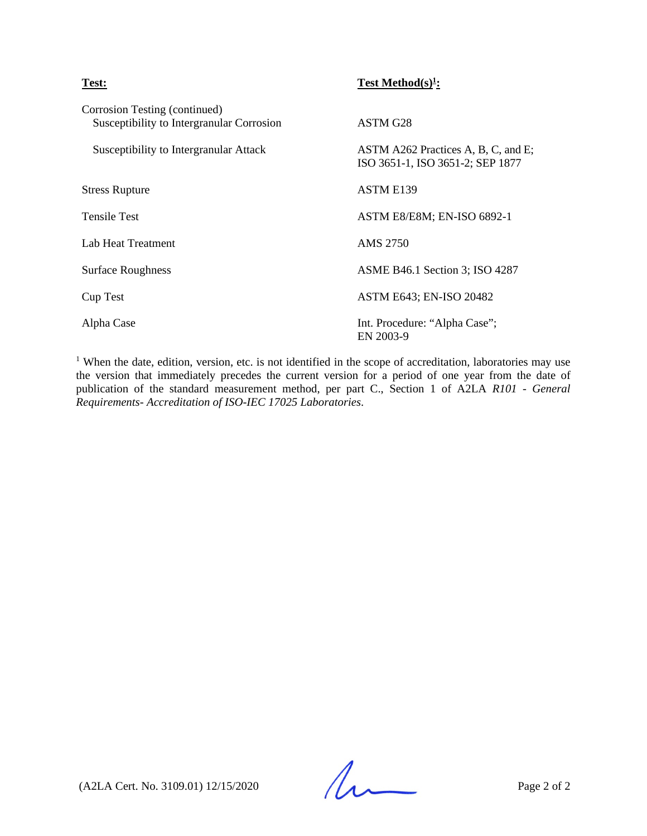## **Test: Test Method(s) 1 :**

| Corrosion Testing (continued)<br>Susceptibility to Intergranular Corrosion | ASTM G28                                                                |
|----------------------------------------------------------------------------|-------------------------------------------------------------------------|
| Susceptibility to Intergranular Attack                                     | ASTM A262 Practices A, B, C, and E;<br>ISO 3651-1, ISO 3651-2; SEP 1877 |
| <b>Stress Rupture</b>                                                      | ASTM E139                                                               |
| <b>Tensile Test</b>                                                        | ASTM E8/E8M; EN-ISO 6892-1                                              |
| Lab Heat Treatment                                                         | AMS 2750                                                                |
| <b>Surface Roughness</b>                                                   | <b>ASME B46.1 Section 3; ISO 4287</b>                                   |
| Cup Test                                                                   | ASTM E643; EN-ISO 20482                                                 |
| Alpha Case                                                                 | Int. Procedure: "Alpha Case";<br>EN 2003-9                              |

<sup>1</sup> When the date, edition, version, etc. is not identified in the scope of accreditation, laboratories may use the version that immediately precedes the current version for a period of one year from the date of publication of the standard measurement method, per part C., Section 1 of A2LA *R101 - General Requirements- Accreditation of ISO-IEC 17025 Laboratories*.

 $(A2LA$  Cert. No. 3109.01) 12/15/2020 Page 2 of 2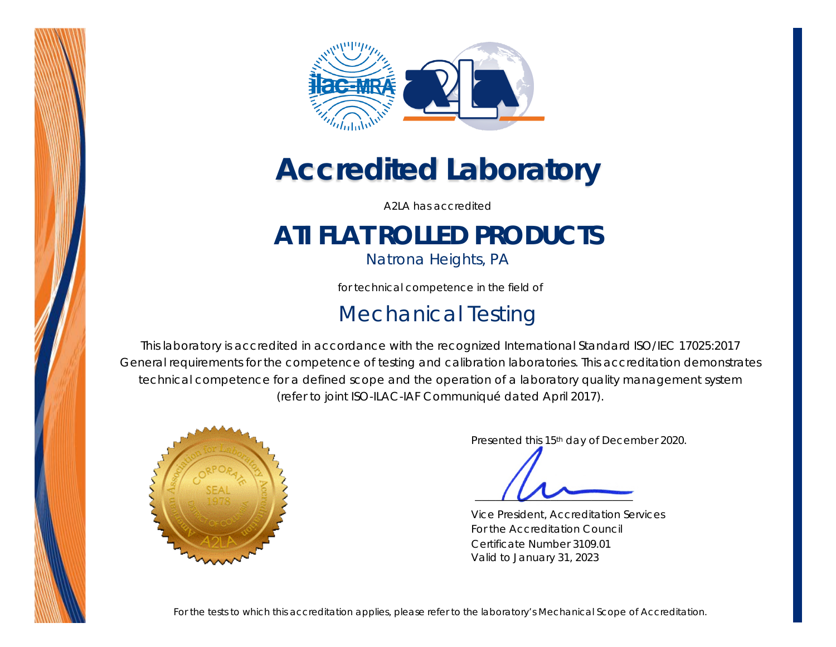



# *Accredited Laboratory*

A2LA has accredited

# **ATI FLAT ROLLED PRODUCTS**

*Natrona Heights, PA* 

for technical competence in the field of

## Mechanical Testing

This laboratory is accredited in accordance with the recognized International Standard ISO/IEC 17025:2017 *General requirements for the competence of testing and calibration laboratories*. This accreditation demonstrates technical competence for a defined scope and the operation of a laboratory quality management system (*refer to joint ISO-ILAC-IAF Communiqué dated April 2017*).



Presented this 15th day of December 2020.

Vice President, Accreditation Services For the Accreditation Council Certificate Number 3109.01 Valid to January 31, 2023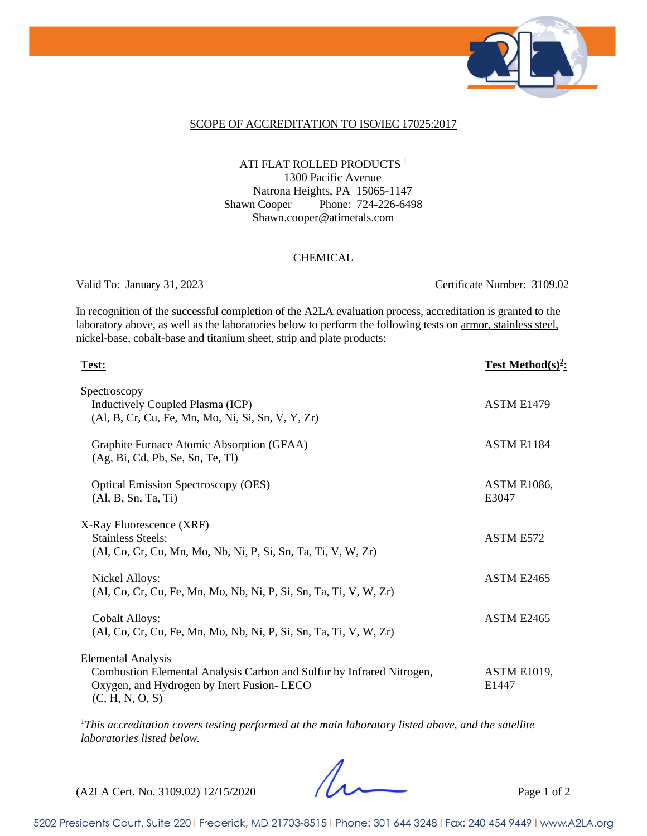

## SCOPE OF ACCREDITATION TO ISO/IEC 17025:2017

ATI FLAT ROLLED PRODUCTS<sup>1</sup> 1300 Pacific Avenue Natrona Heights, PA 15065-1147 Shawn Cooper Phone: 724-226-6498 Shawn.cooper@atimetals.com

### **CHEMICAL**

Valid To: January 31, 2023 Certificate Number: 3109.02

In recognition of the successful completion of the A2LA evaluation process, accreditation is granted to the laboratory above, as well as the laboratories below to perform the following tests on armor, stainless steel, nickel-base, cobalt-base and titanium sheet, strip and plate products:

| Test:                                                                                                                                                              | <b>Test Method</b> (s) <sup>2</sup> : |
|--------------------------------------------------------------------------------------------------------------------------------------------------------------------|---------------------------------------|
| Spectroscopy<br>Inductively Coupled Plasma (ICP)<br>(Al, B, Cr, Cu, Fe, Mn, Mo, Ni, Si, Sn, V, Y, Zr)                                                              | ASTM E1479                            |
| Graphite Furnace Atomic Absorption (GFAA)<br>(Ag, Bi, Cd, Pb, Se, Sn, Te, TI)                                                                                      | <b>ASTM E1184</b>                     |
| <b>Optical Emission Spectroscopy (OES)</b><br>(Al, B, Sn, Ta, Ti)                                                                                                  | <b>ASTM E1086,</b><br>E3047           |
| X-Ray Fluorescence (XRF)<br><b>Stainless Steels:</b><br>(Al, Co, Cr, Cu, Mn, Mo, Nb, Ni, P, Si, Sn, Ta, Ti, V, W, Zr)                                              | <b>ASTM E572</b>                      |
| Nickel Alloys:<br>(Al, Co, Cr, Cu, Fe, Mn, Mo, Nb, Ni, P, Si, Sn, Ta, Ti, V, W, Zr)                                                                                | <b>ASTM E2465</b>                     |
| <b>Cobalt Alloys:</b><br>(Al, Co, Cr, Cu, Fe, Mn, Mo, Nb, Ni, P, Si, Sn, Ta, Ti, V, W, Zr)                                                                         | <b>ASTM E2465</b>                     |
| <b>Elemental Analysis</b><br>Combustion Elemental Analysis Carbon and Sulfur by Infrared Nitrogen,<br>Oxygen, and Hydrogen by Inert Fusion-LECO<br>(C, H, N, O, S) | <b>ASTM E1019,</b><br>E1447           |

<sup>1</sup>This accreditation covers testing performed at the main laboratory listed above, and the satellite *laboratories listed below.*

(A2LA Cert. No. 3109.02) 12/15/2020 Page 1 of 2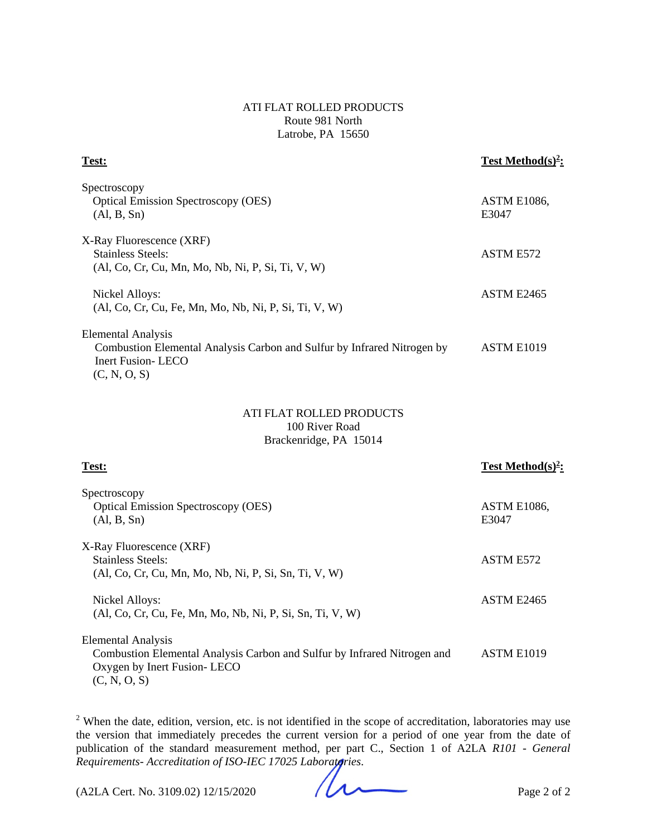## ATI FLAT ROLLED PRODUCTS Route 981 North Latrobe, PA 15650

**Test: Test Method(s) 2 :**

| Spectroscopy                                                            |                    |
|-------------------------------------------------------------------------|--------------------|
| <b>Optical Emission Spectroscopy (OES)</b>                              | <b>ASTM E1086,</b> |
| (Al, B, Sn)                                                             | E3047              |
| X-Ray Fluorescence (XRF)                                                |                    |
| <b>Stainless Steels:</b>                                                | ASTM E572          |
| (Al, Co, Cr, Cu, Mn, Mo, Nb, Ni, P, Si, Ti, V, W)                       |                    |
| Nickel Alloys:                                                          | <b>ASTM E2465</b>  |
| (Al, Co, Cr, Cu, Fe, Mn, Mo, Nb, Ni, P, Si, Ti, V, W)                   |                    |
| <b>Elemental Analysis</b>                                               |                    |
| Combustion Elemental Analysis Carbon and Sulfur by Infrared Nitrogen by | ASTM E1019         |
| Inert Fusion-LECO                                                       |                    |
| (C, N, O, S)                                                            |                    |

### ATI FLAT ROLLED PRODUCTS 100 River Road Brackenridge, PA 15014

**Test: Test Method(s) 2 :**

| Spectroscopy                                                             |                    |
|--------------------------------------------------------------------------|--------------------|
| <b>Optical Emission Spectroscopy (OES)</b>                               | <b>ASTM E1086,</b> |
| (Al, B, Sn)                                                              | E3047              |
| X-Ray Fluorescence (XRF)                                                 |                    |
| <b>Stainless Steels:</b>                                                 | ASTM E572          |
| (Al, Co, Cr, Cu, Mn, Mo, Nb, Ni, P, Si, Sn, Ti, V, W)                    |                    |
| Nickel Alloys:                                                           | <b>ASTM E2465</b>  |
| (Al, Co, Cr, Cu, Fe, Mn, Mo, Nb, Ni, P, Si, Sn, Ti, V, W)                |                    |
| <b>Elemental Analysis</b>                                                |                    |
| Combustion Elemental Analysis Carbon and Sulfur by Infrared Nitrogen and | <b>ASTM E1019</b>  |
| Oxygen by Inert Fusion-LECO                                              |                    |
| (C, N, O, S)                                                             |                    |
|                                                                          |                    |

<sup>2</sup> When the date, edition, version, etc. is not identified in the scope of accreditation, laboratories may use the version that immediately precedes the current version for a period of one year from the date of publication of the standard measurement method, per part C., Section 1 of A2LA *R101 - General Requirements- Accreditation of ISO-IEC 17025 Laboratories*.

(A2LA Cert. No. 3109.02) 12/15/2020 Page 2 of 2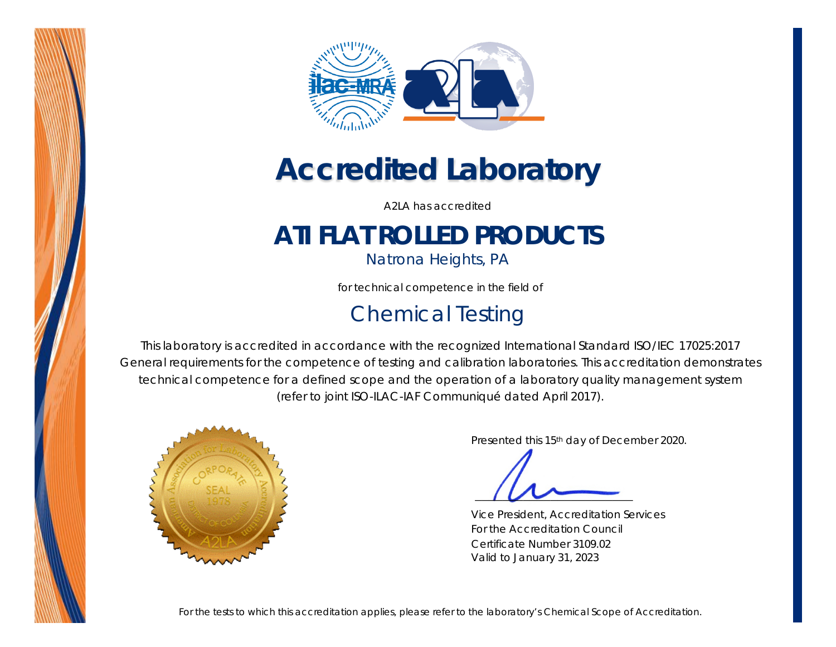



# *Accredited Laboratory*

A2LA has accredited

# **ATI FLAT ROLLED PRODUCTS**

*Natrona Heights, PA* 

for technical competence in the field of

## Chemical Testing

This laboratory is accredited in accordance with the recognized International Standard ISO/IEC 17025:2017 *General requirements for the competence of testing and calibration laboratories*. This accreditation demonstrates technical competence for a defined scope and the operation of a laboratory quality management system (*refer to joint ISO-ILAC-IAF Communiqué dated April 2017*).



Presented this 15th day of December 2020.

Vice President, Accreditation Services For the Accreditation Council Certificate Number 3109.02 Valid to January 31, 2023

*For the tests to which this accreditation applies, please refer to the laboratory's Chemical Scope of Accreditation.*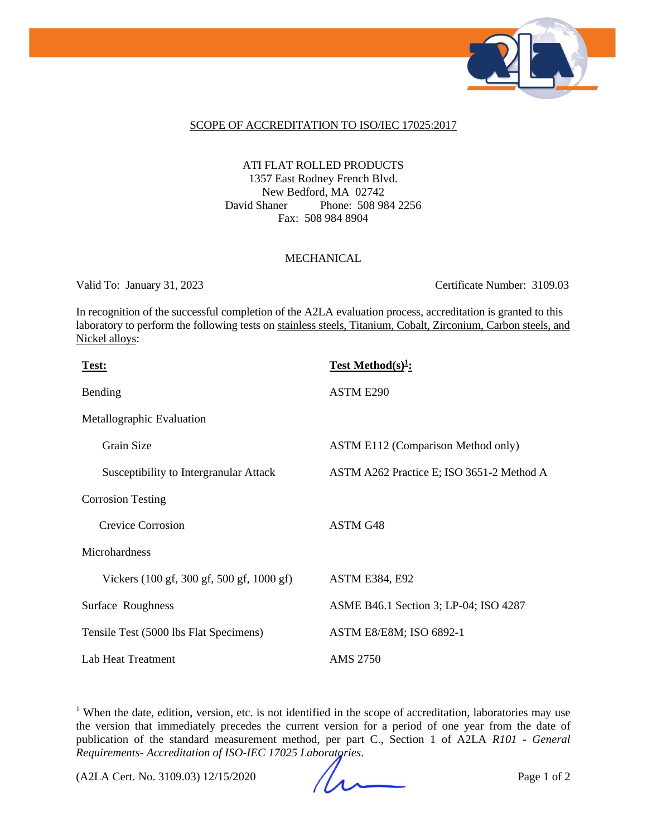

## SCOPE OF ACCREDITATION TO ISO/IEC 17025:2017

## ATI FLAT ROLLED PRODUCTS 1357 East Rodney French Blvd. New Bedford, MA 02742 David Shaner Phone: 508 984 2256 Fax: 508 984 8904

## MECHANICAL

Valid To: January 31, 2023 Certificate Number: 3109.03

In recognition of the successful completion of the A2LA evaluation process, accreditation is granted to this laboratory to perform the following tests on stainless steels, Titanium, Cobalt, Zirconium, Carbon steels, and Nickel alloys:

| Test:                                     | <b>Test Method</b> (s) <sup>1</sup> :     |
|-------------------------------------------|-------------------------------------------|
| Bending                                   | ASTM E290                                 |
| Metallographic Evaluation                 |                                           |
| Grain Size                                | <b>ASTM E112 (Comparison Method only)</b> |
| Susceptibility to Intergranular Attack    | ASTM A262 Practice E; ISO 3651-2 Method A |
| <b>Corrosion Testing</b>                  |                                           |
| <b>Crevice Corrosion</b>                  | ASTM G48                                  |
| Microhardness                             |                                           |
| Vickers (100 gf, 300 gf, 500 gf, 1000 gf) | <b>ASTM E384, E92</b>                     |
| Surface Roughness                         | ASME B46.1 Section 3; LP-04; ISO 4287     |
| Tensile Test (5000 lbs Flat Specimens)    | ASTM E8/E8M; ISO 6892-1                   |
| Lab Heat Treatment                        | <b>AMS 2750</b>                           |

<sup>1</sup> When the date, edition, version, etc. is not identified in the scope of accreditation, laboratories may use the version that immediately precedes the current version for a period of one year from the date of publication of the standard measurement method, per part C., Section 1 of A2LA *R101 - General Requirements- Accreditation of ISO-IEC 17025 Laboratories*.

(A2LA Cert. No. 3109.03) 12/15/2020 Page 1 of 2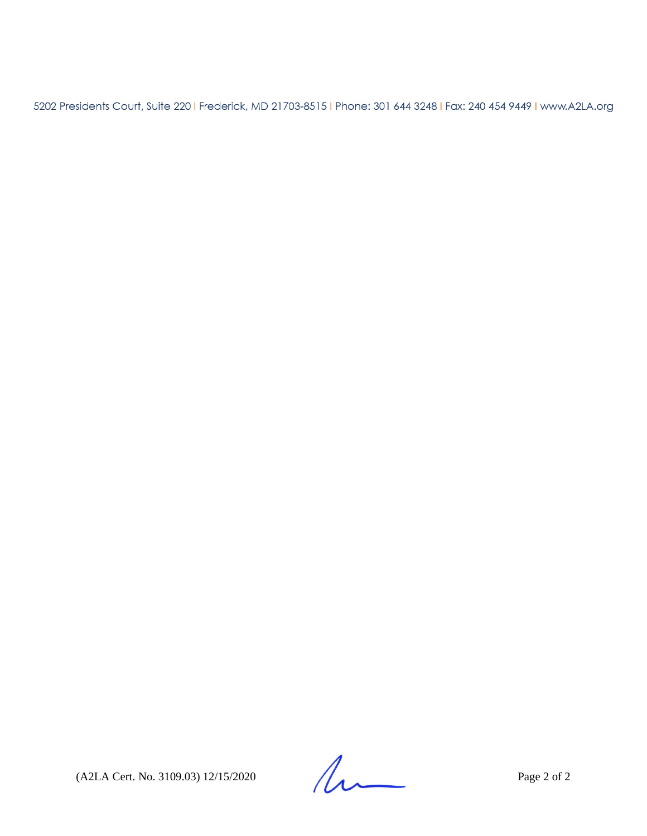5202 Presidents Court, Suite 220 | Frederick, MD 21703-8515 | Phone: 301 644 3248 | Fax: 240 454 9449 | www.A2LA.org

 $(A2LA$  Cert. No. 3109.03) 12/15/2020